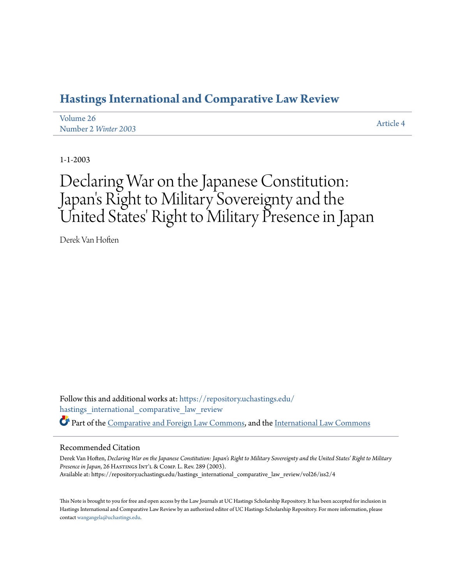## **[Hastings International and Comparative Law Review](https://repository.uchastings.edu/hastings_international_comparative_law_review?utm_source=repository.uchastings.edu%2Fhastings_international_comparative_law_review%2Fvol26%2Fiss2%2F4&utm_medium=PDF&utm_campaign=PDFCoverPages)**

| Volume 26            | Article 4 |
|----------------------|-----------|
| Number 2 Winter 2003 |           |

1-1-2003

# Declaring War on the Japanese Constitution: Japan 's Right to Military Sovereignty and the United States' Right to Military Presence in Japan

Derek Van Hoften

Follow this and additional works at: [https://repository.uchastings.edu/](https://repository.uchastings.edu/hastings_international_comparative_law_review?utm_source=repository.uchastings.edu%2Fhastings_international_comparative_law_review%2Fvol26%2Fiss2%2F4&utm_medium=PDF&utm_campaign=PDFCoverPages) [hastings\\_international\\_comparative\\_law\\_review](https://repository.uchastings.edu/hastings_international_comparative_law_review?utm_source=repository.uchastings.edu%2Fhastings_international_comparative_law_review%2Fvol26%2Fiss2%2F4&utm_medium=PDF&utm_campaign=PDFCoverPages) Part of the [Comparative and Foreign Law Commons](http://network.bepress.com/hgg/discipline/836?utm_source=repository.uchastings.edu%2Fhastings_international_comparative_law_review%2Fvol26%2Fiss2%2F4&utm_medium=PDF&utm_campaign=PDFCoverPages), and the [International Law Commons](http://network.bepress.com/hgg/discipline/609?utm_source=repository.uchastings.edu%2Fhastings_international_comparative_law_review%2Fvol26%2Fiss2%2F4&utm_medium=PDF&utm_campaign=PDFCoverPages)

#### Recommended Citation

Derek Van Hoften, *Declaring War on the Japanese Constitution: Japan's Right to Military Sovereignty and the United States' Right to Military* Presence in Japan, 26 HASTINGS INT'L & COMP. L. Rev. 289 (2003). Available at: https://repository.uchastings.edu/hastings\_international\_comparative\_law\_review/vol26/iss2/4

This Note is brought to you for free and open access by the Law Journals at UC Hastings Scholarship Repository. It has been accepted for inclusion in Hastings International and Comparative Law Review by an authorized editor of UC Hastings Scholarship Repository. For more information, please contact [wangangela@uchastings.edu](mailto:wangangela@uchastings.edu).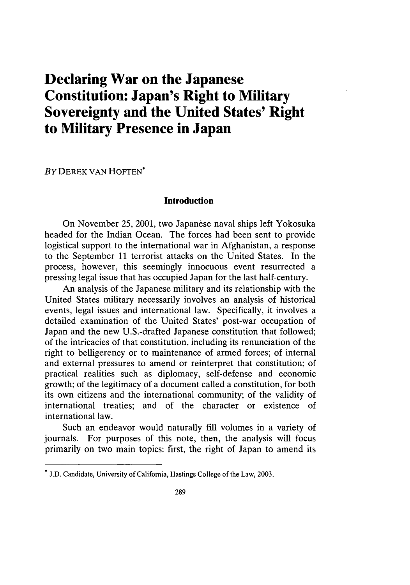# **Declaring War on the Japanese Constitution: Japan's Right to Military Sovereignty and the United States' Right to Military Presence in Japan**

**BY DEREK VAN HOFTEN<sup>\*</sup>** 

#### **Introduction**

On November 25, 2001, two Japanese naval ships left Yokosuka headed for the Indian Ocean. The forces had been sent to provide logistical support to the international war in Afghanistan, a response to the September 11 terrorist attacks on the United States. In the process, however, this seemingly innocuous event resurrected a pressing legal issue that has occupied Japan for the last half-century.

An analysis of the Japanese military and its relationship with the United States military necessarily involves an analysis of historical events, legal issues and international law. Specifically, it involves a detailed examination of the United States' post-war occupation of Japan and the new U.S.-drafted Japanese constitution that followed; of the intricacies of that constitution, including its renunciation of the right to belligerency or to maintenance of armed forces; of internal and external pressures to amend or reinterpret that constitution; of practical realities such as diplomacy, self-defense and economic growth; of the legitimacy of a document called a constitution, for both its own citizens and the international community; of the validity of international treaties; and of the character or existence of international law.

Such an endeavor would naturally fill volumes in a variety of journals. For purposes of this note, then, the analysis will focus primarily on two main topics: first, the right of Japan to amend its

<sup>\*</sup> J.D. Candidate, University of California, Hastings College of the Law, 2003.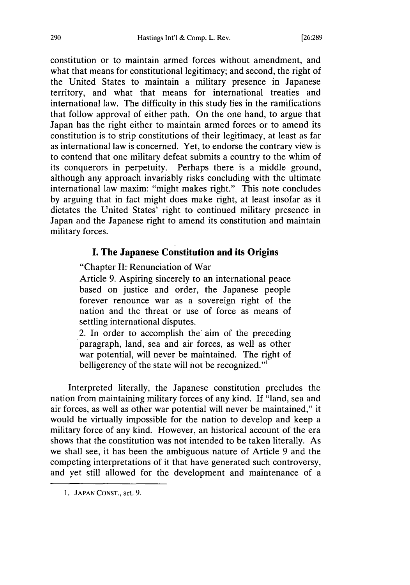constitution or to maintain armed forces without amendment, and what that means for constitutional legitimacy; and second, the right of the United States to maintain a military presence in Japanese territory, and what that means for international treaties and international law. The difficulty in this study lies in the ramifications that follow approval of either path. On the one hand, to argue that Japan has the right either to maintain armed forces or to amend its constitution is to strip constitutions of their legitimacy, at least as far as international law is concerned. Yet, to endorse the contrary view is to contend that one military defeat submits a country to the whim of its conquerors in perpetuity. Perhaps there is a middle ground, although any approach invariably risks concluding with the ultimate international law maxim: "might makes right." This note concludes by arguing that in fact might does make right, at least insofar as it dictates the United States' right to continued military presence in Japan and the Japanese right to amend its constitution and maintain military forces.

### **I. The Japanese Constitution and its Origins**

"Chapter **II:** Renunciation of War

Article 9. Aspiring sincerely to an international peace based on justice and order, the Japanese people forever renounce war as a sovereign right of the nation and the threat or use of force as means of settling international disputes.

2. In order to accomplish the aim of the preceding paragraph, land, sea and air forces, as well as other war potential, will never be maintained. The right of belligerency of the state will not be recognized."<sup>1</sup>

Interpreted literally, the Japanese constitution precludes the nation from maintaining military forces of any kind. If "land, sea and air forces, as well as other war potential will never be maintained," it would be virtually impossible for the nation to develop and keep a military force of any kind. However, an historical account of the era shows that the constitution was not intended to be taken literally. As we shall see, it has been the ambiguous nature of Article 9 and the competing interpretations of it that have generated such controversy, and yet still allowed for the development and maintenance of a

<sup>1.</sup> JAPAN CONST., art. 9.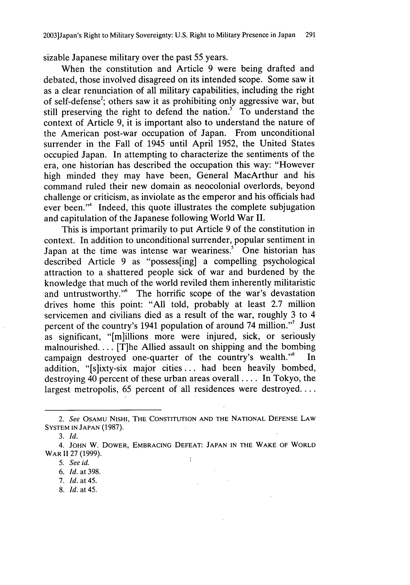sizable Japanese military over the past 55 years.

When the constitution and Article 9 were being drafted and debated, those involved disagreed on its intended scope. Some saw it as a clear renunciation of all military capabilities, including the right of self-defense<sup>2</sup>; others saw it as prohibiting only aggressive war, but still preserving the right to defend the nation.<sup>3</sup> To understand the context of Article 9, it is important also to understand the nature of the American post-war occupation of Japan. From unconditional surrender in the Fall of 1945 until April 1952, the United States occupied Japan. In attempting to characterize the sentiments of the era, one historian has described the occupation this way: "However high minded they may have been, General MacArthur and his command ruled their new domain as. neocolonial overlords, beyond challenge or criticism, as inviolate as the emperor and his officials had ever been."<sup>4</sup> Indeed, this quote illustrates the complete subjugation and capitulation of the Japanese following World War II.

This is important primarily to put Article 9 of the constitution in context. In addition to unconditional surrender, popular sentiment in Japan at the time was intense war weariness.<sup>5</sup> One historian has described Article 9 as "possess[ing] a compelling psychological attraction to a shattered people sick of war and burdened by the knowledge that much of the world reviled them inherently militaristic and untrustworthy."<sup>6</sup> The horrific scope of the war's devastation drives home this point: "All told, probably at least 2.7 million servicemen and civilians died as a result of the war, roughly 3 to 4 percent of the country's 1941 population of around 74 million."7 Just as significant, "[m]illions more were injured, sick, or seriously malnourished.... [T]he Allied assault on shipping and the bombing campaign destroyed one-quarter of the country's wealth."<sup>8</sup> In addition, "[s]ixty-six major cities.., had been heavily bombed, destroying 40 percent of these urban areas overall .... In Tokyo, the largest metropolis, 65 percent of all residences were destroyed....

*<sup>2.</sup> See* OSAMU **NISHI,** THE **CONSTITUTION AND** THE **NATIONAL DEFENSE** LAW SYSTEM **IN JAPAN** (1987).

*<sup>3.</sup> Id.*

<sup>4.</sup> **JOHN** W. DOWER, EMBRACING **DEFEAT: JAPAN IN** THE WAKE OF WORLD WAR II 27 (1999).  $\mathcal{L}$ 

*<sup>5.</sup> See id.*

*<sup>6.</sup> Id.* at 398.

<sup>7.</sup> *Id.* at 45.

<sup>8.</sup> *Id.* at 45.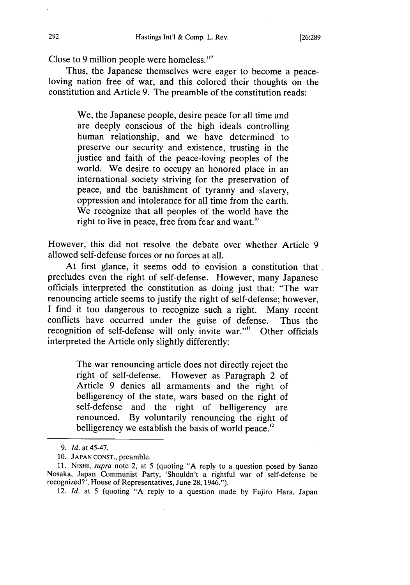Close to 9 million people were homeless."'

Thus, the Japanese themselves were eager to become a peaceloving nation free of war, and this colored their thoughts on the constitution and Article 9. The preamble of the constitution reads:

> We, the Japanese people, desire peace for all time and are deeply conscious of the high ideals controlling human relationship, and we have determined to preserve our security and existence, trusting in the justice and faith of the peace-loving peoples of the world. We desire to occupy an honored place in an international society striving for the preservation of peace, and the banishment of tyranny and slavery, oppression and intolerance for all time from the earth. We recognize that all peoples of the world have the right to live in peace, free from fear and want.<sup>10</sup>

However, this did not resolve the debate over whether Article 9 allowed self-defense forces or no forces at all.

At first glance, it seems odd to envision a constitution that precludes even the right of self-defense. However, many Japanese officials interpreted the constitution as doing just that: "The war renouncing article seems to justify the right of self-defense; however, I find it too dangerous to recognize such a right. Many recent conflicts have occurred under the guise of defense. Thus the recognition of self-defense will only invite war."" Other officials interpreted the Article only slightly differently:

> The war renouncing article does not directly reject the right of self-defense. However as Paragraph 2 of Article 9 denies all armaments and the right of belligerency of the state, wars based on the right of self-defense and the right of belligerency are renounced. By voluntarily renouncing the right of belligerency we establish the basis of world peace.<sup>12</sup>

12. *Id.* at 5 (quoting "A reply to a question made by Fujiro Hara, Japan

*<sup>9.</sup> Id.* at 45-47.

<sup>10.</sup> **JAPAN CONST.,** preamble.

<sup>11.</sup> NISHI, *supra* note 2, at 5 (quoting "A reply to a question posed by Sanzo Nosaka, Japan Communist Party, 'Shouldn't a rightful war of self-defense be recognized?', House of Representatives, June 28, 1946.").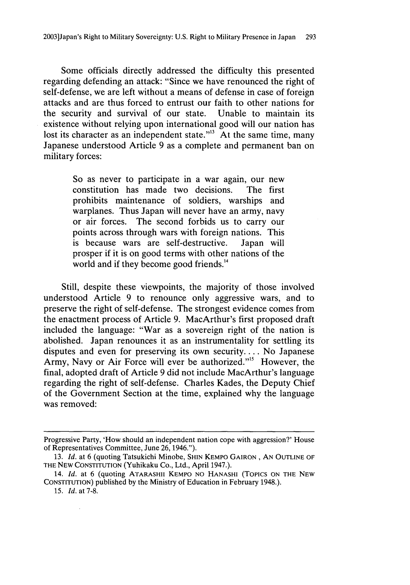Some officials directly addressed the difficulty this presented regarding defending an attack: "Since we have renounced the right of self-defense, we are left without a means of defense in case of foreign attacks and are thus forced to entrust our faith to other nations for the security and survival of our state. Unable to maintain its existence without relying upon international good will our nation has lost its character as an independent state."<sup>13</sup> At the same time, many Japanese understood Article 9 as a complete and permanent ban on military forces:

> So as never to participate in a war again, our new constitution has made two decisions. The first prohibits maintenance of soldiers, warships and warplanes. Thus Japan will never have an army, navy or air forces. The second forbids us to carry our points across through wars with foreign nations. This is because wars are self-destructive. Japan will prosper if it is on good terms with other nations of the world and if they become good friends.<sup>14</sup>

Still, despite these viewpoints, the majority of those involved understood Article 9 to renounce only aggressive wars, and to preserve the right of self-defense. The strongest evidence comes from the enactment process of Article 9. MacArthur's first proposed draft included the language: "War as a sovereign right of the nation is abolished. Japan renounces it as an instrumentality for settling its disputes and even for preserving its own security.... No Japanese Army, Navy or Air Force will ever be authorized."'5 However, the final, adopted draft of Article 9 did not include MacArthur's language regarding the right of self-defense. Charles Kades, the Deputy Chief of the Government Section at the time, explained why the language was removed:

Progressive Party, 'How should an independent nation cope with aggression?' House of Representatives Committee, June 26, 1946.").

<sup>13.</sup> *Id.* at 6 (quoting Tatsukichi Minobe, **SHIN** KEMPO **GAIRON, AN OUTLINE** OF THE **NEW CONSTITUTION** (Yuhikaku Co., Ltd., April 1947.).

<sup>14.</sup> *Id.* at 6 (quoting ATARASHII KEMPO NO **HANASHI** (Topics **ON** THE **NEW CONSTITUTION)** published **by** the Ministry of Education in February 1948.).

**<sup>15.</sup>** *Id.* at 7-8.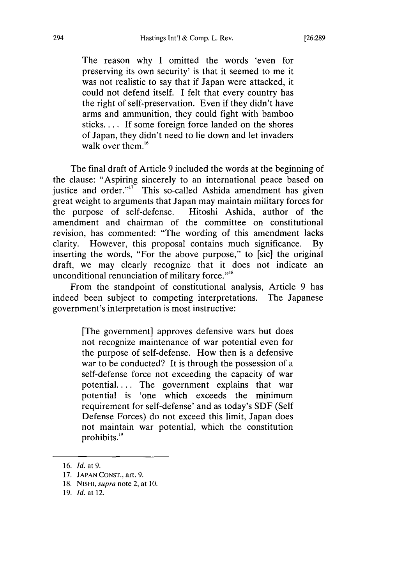The reason why I omitted the words 'even for preserving its own security' is that it seemed to me it was not realistic to say that if Japan were attacked, it could not defend itself. I felt that every country has the right of self-preservation. Even if they didn't have arms and ammunition, they could fight with bamboo sticks.... If some foreign force landed on the shores of Japan, they didn't need to lie down and let invaders walk over them. $16$ 

The final draft of Article 9 included the words at the beginning of the clause: "Aspiring sincerely to an international peace based on justice and order."<sup>17</sup> This so-called Ashida amendment has given great weight to arguments that Japan may maintain military forces for the purpose of self-defense. Hitoshi Ashida, author of the amendment and chairman of the committee on constitutional revision, has commented: "The wording of this amendment lacks clarity. However, this proposal contains much significance. By inserting the words, "For the above purpose," to [sic] the original draft, we may clearly recognize that it does not indicate an unconditional renunciation of military force. $"$ <sup>18</sup>

From the standpoint of constitutional analysis, Article 9 has indeed been subject to competing interpretations. The Japanese government's interpretation is most instructive:

> [The government] approves defensive wars but does not recognize maintenance of war potential even for the purpose of self-defense. How then is a defensive war to be conducted? It is through the possession of a self-defense force not exceeding the capacity of war potential.... The government explains that war potential is 'one which exceeds the minimum requirement for self-defense' and as today's SDF (Self Defense Forces) do not exceed this limit, Japan does not maintain war potential, which the constitution prohibits.<sup>19</sup>

<sup>16.</sup> *Id.* at 9.

<sup>17.</sup> **JAPAN CONST.,** art. 9.

<sup>18.</sup> **NISHI,** *supra* note 2, at 10.

<sup>19.</sup> *Id.* at 12.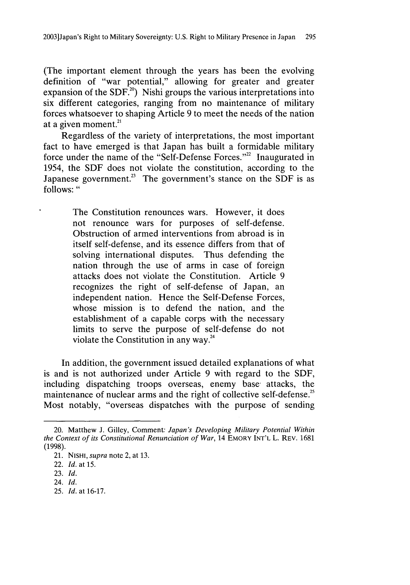(The important element through the years has been the evolving definition of "war potential," allowing for greater and greater expansion of the SDF.<sup>20</sup>) Nishi groups the various interpretations into six different categories, ranging from no maintenance of military forces whatsoever to shaping Article 9 to meet the needs of the nation at a given moment. $21$ 

Regardless of the variety of interpretations, the most important fact to have emerged is that Japan has built a formidable military force under the name of the "Self-Defense Forces."<sup>22</sup> Inaugurated in 1954, the SDF does not violate the constitution, according to the Japanese government.<sup>23</sup> The government's stance on the SDF is as follows: **"**

> The Constitution renounces wars. However, it does not renounce wars for purposes of self-defense. Obstruction of armed interventions from abroad is in itself self-defense, and its essence differs from that of solving international disputes. Thus defending the nation through the use of arms in case of foreign attacks does not violate the Constitution. Article 9 recognizes the right of self-defense of Japan, an independent nation. Hence the Self-Defense Forces, whose mission is to defend the nation, and the establishment of a capable corps with the necessary limits to serve the purpose of self-defense do not violate the Constitution in any way.<sup>24</sup>

In addition, the government issued detailed explanations of what is and is not authorized under Article 9 with regard to the SDF, including dispatching troops overseas, enemy base attacks, the maintenance of nuclear arms and the right of collective self-defense.<sup>25</sup> Most notably, "overseas dispatches with the purpose of sending

<sup>20.</sup> Matthew J. Gilley, Comment. *Japan's Developing Military Potential Within the Context of its Constitutional Renunciation of War,* 14 EMORY INT'L L. REV. 1681 (1998).

<sup>21.</sup> NISHI, *supra* note 2, at 13.

<sup>22.</sup> *Id.* at 15.

<sup>23.</sup> *Id.*

<sup>24.</sup> *Id.*

<sup>25.</sup> *Id.* at 16-17.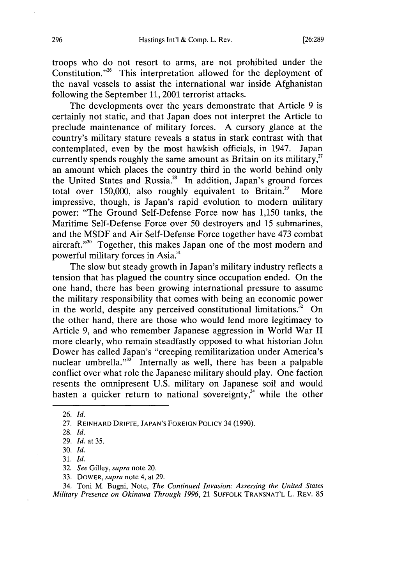troops who do not resort to arms, are not prohibited under the Constitution."26 This interpretation allowed for the deployment of the naval vessels to assist the international war inside Afghanistan following the September 11, 2001 terrorist attacks.

The developments over the years demonstrate that Article 9 is certainly not static, and that Japan does not interpret the Article to preclude maintenance of military forces. A cursory glance at the country's military stature reveals a status in stark contrast with that contemplated, even by the most hawkish officials, in 1947. Japan**<sup>27</sup>** currently spends roughly the same amount as Britain on its military, an amount which places the country third in the world behind only the United States and Russia.<sup>28</sup> In addition, Japan's ground forces total over  $150,000$ , also roughly equivalent to Britain.<sup>29</sup> More impressive, though, is Japan's rapid evolution to modern military power: "The Ground Self-Defense Force now has 1,150 tanks, the Maritime Self-Defense Force over 50 destroyers and 15 submarines, and the MSDF and Air Self-Defense Force together have 473 combat aircraft."<sup>30</sup> Together, this makes Japan one of the most modern and powerful military forces in Asia.'

The slow but steady growth in Japan's military industry reflects a tension that has plagued the country since occupation ended. On the one hand, there has been growing international pressure to assume the military responsibility that comes with being an economic power in the world, despite any perceived constitutional limitations.<sup>32</sup> On the other hand, there are those who would lend more legitimacy to Article 9, and who remember Japanese aggression in World War II more clearly, who remain steadfastly opposed to what historian John Dower has called Japan's "creeping remilitarization under America's nuclear umbrella." $33$  Internally as well, there has been a palpable conflict over what role the Japanese military should play. One faction resents the omnipresent U.S. military on Japanese soil and would hasten a quicker return to national sovereignty, $34$  while the other

34. Toni M. Bugni, Note, *The Continued Invasion: Assessing the United States Military Presence on Okinawa Through 1996,* 21 **SUFFOLK TRANSNAT'L** L. REV. 85

<sup>26.</sup> *Id.*

<sup>27.</sup> REINHARD DRIFrE, JAPAN'S FOREIGN POLICY 34 (1990).

<sup>28.</sup> *Id.*

<sup>29.</sup> *Id.* at 35.

<sup>30.</sup> *Id.*

<sup>31.</sup> *Id.*

<sup>32.</sup> *See* Gilley, *supra* note 20.

<sup>33.</sup> DOWER, *supra* note 4, at 29.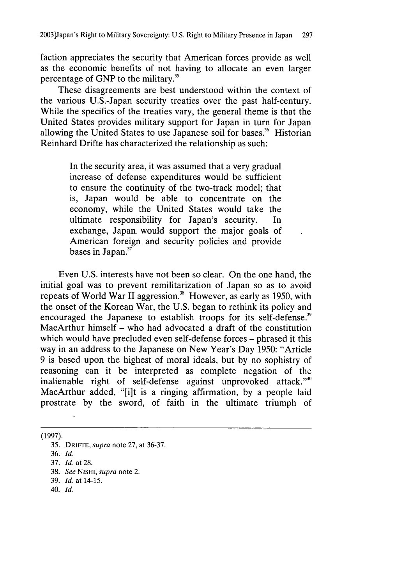faction appreciates the security that American forces provide as well as the economic benefits of not having to allocate an even larger percentage of GNP to the military.<sup>35</sup>

These disagreements are best understood within the context of the various U.S.-Japan security treaties over the past half-century. While the specifics of the treaties vary, the general theme is that the United States provides military support for Japan in turn for Japan allowing the United States to use Japanese soil for bases.<sup>36</sup> Historian Reinhard Drifte has characterized the relationship as such:

> In the security area, it was assumed that a very gradual increase of defense expenditures would be sufficient to ensure the continuity of the two-track model; that is, Japan would be able to concentrate on the economy, while the United States would take the ultimate responsibility for Japan's security. In exchange, Japan would support the major goals of American foreign and security policies and provide bases in Japan.<sup>37</sup>

Even U.S. interests have not been so clear. On the one hand, the initial goal was to prevent remilitarization of Japan so as to avoid repeats of World War II aggression.<sup>38</sup> However, as early as 1950, with the onset of the Korean War, the U.S. began to rethink its policy and encouraged the Japanese to establish troops for its self-defense.<sup>39</sup> MacArthur himself – who had advocated a draft of the constitution which would have precluded even self-defense forces – phrased it this way in an address to the Japanese on New Year's Day 1950: "Article 9 is based upon the highest of moral ideals, but by no sophistry of reasoning can it be interpreted as complete negation of the inalienable right of self-defense against unprovoked attack."4° MacArthur added, "[i]t is a ringing affirmation, by a people laid prostrate by the sword, of faith in the ultimate triumph of

(1997).

36. Id.

40. *Id.*

<sup>35.</sup> DRIFFE, *supra* note 27, at 36-37.

<sup>37.</sup> *Id.* at 28.

<sup>38.</sup> *See* NISHI, *supra* note 2.

<sup>39.</sup> *Id.* at 14-15.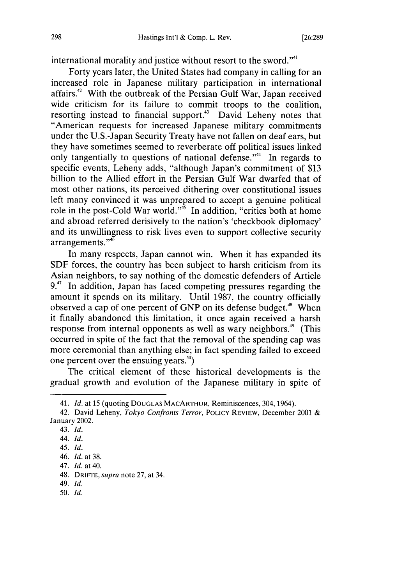international morality and justice without resort to the sword."<sup>41</sup>

Forty years later, the United States had company in calling for an increased role in Japanese military participation in international affairs.<sup>42</sup> With the outbreak of the Persian Gulf War, Japan received wide criticism for its failure to commit troops to the coalition, resorting instead to financial support.<sup>43</sup> David Leheny notes that "American requests for increased Japanese military commitments under the U.S.-Japan Security Treaty have not fallen on deaf ears, but they have sometimes seemed to reverberate off political issues linked only tangentially to questions of national defense."<sup>44</sup> In regards to specific events, Leheny adds, "although Japan's commitment of \$13 billion to the Allied effort in the Persian Gulf War dwarfed that of most other nations, its perceived dithering over constitutional issues left many convinced it was unprepared to accept a genuine political role in the post-Cold War world."<sup>5</sup> In addition, "critics both at home and abroad referred derisively to the nation's 'checkbook diplomacy' and its unwillingness to risk lives even to support collective security arrangements."<sup>46</sup>

In many respects, Japan cannot win. When it has expanded its SDF forces, the country has been subject to harsh criticism from its Asian neighbors, to say nothing of the domestic defenders of Article 9.<sup>47</sup> In addition, Japan has faced competing pressures regarding the amount it spends on its military. Until 1987, the country officially observed a cap of one percent of GNP on its defense budget.<sup>48</sup> When it finally abandoned this limitation, it once again received a harsh response from internal opponents as well as wary neighbors.<sup>49</sup> (This occurred in spite of the fact that the removal of the spending cap was more ceremonial than anything else; in fact spending failed to exceed one percent over the ensuing years."')

The critical element of these historical developments is the gradual growth and evolution of the Japanese military in spite of

<sup>41.</sup> *Id.* at 15 (quoting **DOUGLAS** MACARTHUR, Reminiscences, 304, 1964).

<sup>42.</sup> David Leheny, *Tokyo Confronts Terror,* POLICY REVIEW, December 2001 & January 2002.

<sup>43.</sup> *Id.*

<sup>44.</sup> *Id.*

<sup>45.</sup> *Id.*

<sup>46.</sup> *Id.* at 38.

<sup>47.</sup> *Id.* at 40.

<sup>48.</sup> DRIFTE, *supra* note 27, at 34.

<sup>49.</sup> *Id.*

<sup>50.</sup> *Id.*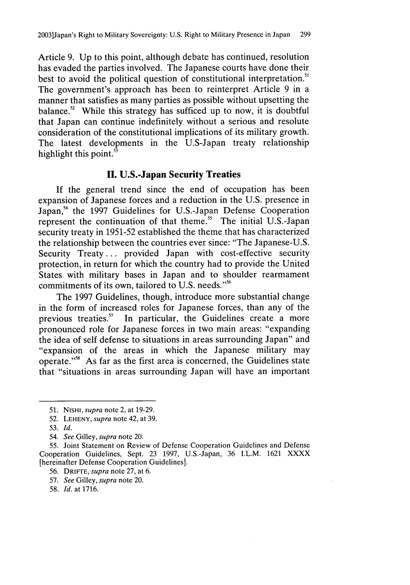Article 9. Up to this point, although debate has continued, resolution has evaded the parties involved. The Japanese courts have done their best to avoid the political question of constitutional interpretation." The government's approach has been to reinterpret Article 9 in a manner that satisfies as many parties as possible without upsetting the balance.<sup>52</sup> While this strategy has sufficed up to now, it is doubtful that Japan can continue indefinitely without a serious and resolute consideration of the constitutional implications of its military growth. The latest developments in the U.S-Japan treaty relationship highlight this point. $53$ 

## **II. U.S.-Japan Security Treaties**

If the general trend since the end of occupation has been expansion of Japanese forces and a reduction in the U.S. presence in Japan,<sup>54</sup> the 1997 Guidelines for U.S.-Japan Defense Cooperation represent the continuation of that theme.<sup>55</sup> The initial U.S.-Japan security treaty in 1951-52 established the theme that has characterized the relationship between the countries ever since: "The Japanese-U.S. Security Treaty... provided Japan with cost-effective security protection, in return for which the country had to provide the United States with military bases in Japan and to shoulder rearmament commitments of its own, tailored to U.S. needs."<sup>56</sup>

The 1997 Guidelines, though, introduce more substantial change in the form of increased roles for Japanese forces, than any of the previous treaties.<sup>57</sup> In particular, the Guidelines create a more In particular, the Guidelines create a more pronounced role for Japanese forces in two main areas: "expanding the idea of self defense to situations in areas surrounding Japan" and "expansion of the areas in which the Japanese military may operate."<sup>58</sup> As far as the first area is concerned, the Guidelines state that "situations in areas surrounding Japan will have an important

- 56. DRIFTE, *supra* note 27, at 6.
- 57. *See* Gilley, *supra* note 20.
- 58. *Id.* at 1716.

<sup>51.</sup> NISHI, *supra* note 2, at 19-29.

<sup>52.</sup> LEHENY, *supra* note 42, at 39.

<sup>53.</sup> *Id.*

<sup>54.</sup> *See* Gilley, *supra* note 20.

<sup>55.</sup> Joint Statement on Review of Defense Cooperation Guidelines and Defense Cooperation Guidelines, Sept. 23 1997, U.S.-Japan, 36 I.L.M. 1621 XXXX [hereinafter Defense Cooperation Guidelines].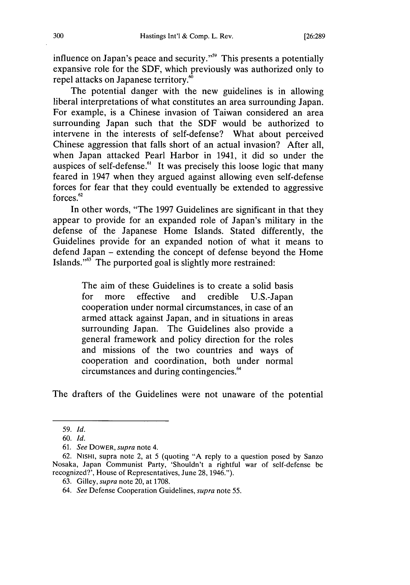influence on Japan's peace and security."59 This presents a potentially expansive role for the SDF, which previously was authorized only to repel attacks on Japanese territory."

The potential danger with the new guidelines is in allowing liberal interpretations of what constitutes an area surrounding Japan. For example, is a Chinese invasion of Taiwan considered an area surrounding Japan such that the SDF would be authorized to intervene in the interests of self-defense? What about perceived Chinese aggression that falls short of an actual invasion? After all, when Japan attacked Pearl Harbor in 1941, it did so under the auspices of self-defense.<sup>61</sup> It was precisely this loose logic that many feared in 1947 when they argued against allowing even self-defense forces for fear that they could eventually be extended to aggressive forces.<sup>62</sup>

In other words, "The 1997 Guidelines are significant in that they appear to provide for an expanded role of Japan's military in the defense of the Japanese Home Islands. Stated differently, the Guidelines provide for an expanded notion of what it means to defend Japan - extending the concept of defense beyond the Home Islands."63 The purported goal is slightly more restrained:

> The aim of these Guidelines is to create a solid basis for more effective and credible U.S.-Japan cooperation under normal circumstances, in case of an armed attack against Japan, and in situations in areas surrounding Japan. The Guidelines also provide a general framework and policy direction for the roles and missions of the two countries and ways of cooperation and coordination, both under normal circumstances and during contingencies.<sup>64</sup>

The drafters of the Guidelines were not unaware of the potential

<sup>59.</sup> *Id.*

<sup>60.</sup> *Id.*

<sup>61.</sup> *See* DOWER, supra note 4.

<sup>62.</sup> NISHI, supra note 2, at 5 (quoting "A reply to a question posed by Sanzo Nosaka, Japan Communist Party, 'Shouldn't a rightful war of self-defense be recognized?', House of Representatives, June 28, 1946.").

<sup>63.</sup> Gilley, *supra* note 20, at 1708.

<sup>64.</sup> *See* Defense Cooperation Guidelines, *supra* note 55.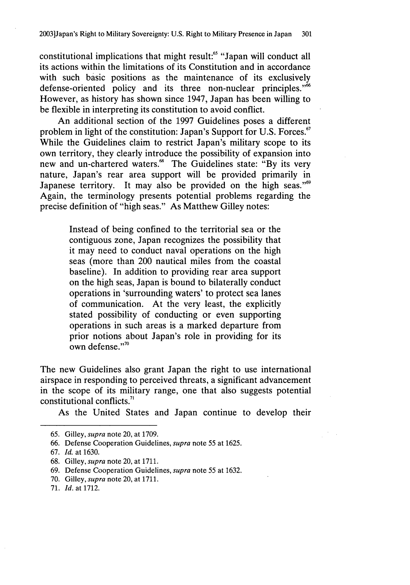constitutional implications that might result:<sup>65</sup> "Japan will conduct all its actions within the limitations of its Constitution and in accordance with such basic positions as the maintenance of its exclusively defense-oriented policy and its three non-nuclear principles."<sup>66</sup> However, as history has shown since 1947, Japan has been willing to be flexible in interpreting its constitution to avoid conflict.

An additional section of the 1997 Guidelines poses a different problem in light of the constitution: Japan's Support for U.S. Forces.<sup>67</sup> While the Guidelines claim to restrict Japan's military scope to its own territory, they clearly introduce the possibility of expansion into new and un-chartered waters.<sup>68</sup> The Guidelines state: "By its very nature, Japan's rear area support will be provided primarily in Japanese territory. It may also be provided on the high seas."<sup>69</sup> Again, the terminology presents potential problems regarding the precise definition of "high seas." As Matthew Gilley notes:

> Instead of being confined to the territorial sea or the contiguous zone, Japan recognizes the possibility that it may need to conduct naval operations on the high seas (more than 200 nautical miles from the coastal baseline). In addition to providing rear area support on the high seas, Japan is bound to bilaterally conduct operations in 'surrounding waters' to protect sea lanes of communication. At the very least, the explicitly stated possibility of conducting or even supporting operations in such areas is a marked departure from prior notions about Japan's role in providing for its own defense."70

The new Guidelines also grant Japan the right to use international airspace in responding to perceived threats, a significant advancement in the scope of its military range, one that also suggests potential constitutional conflicts. $71$ 

As the United States and Japan continue to develop their

68. Gilley, *supra* note 20, at 1711.

69. Defense Cooperation Guidelines, *supra* note 55 at 1632.

70. Gilley, *supra* note 20, at 1711.

<sup>65.</sup> Gilley, *supra* note 20, at 1709.

<sup>66.</sup> Defense Cooperation Guidelines, *supra* note 55 at 1625.

<sup>67.</sup> *Id.* at 1630.

<sup>71.</sup> *Id.* at 1712.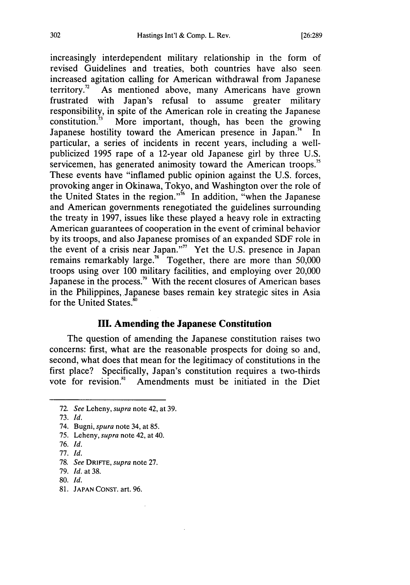increasingly interdependent military relationship in the form of revised Guidelines and treaties, both countries have also seen increased agitation calling for American withdrawal from Japanese territory.<sup>72</sup> As mentioned above, many Americans have grown frustrated with Japan's refusal to assume greater military responsibility, in spite of the American role in creating the Japanese constitution.<sup>73</sup> More important, though, has been the growing Japanese hostility toward the American presence in Japan.<sup>74</sup> In particular, a series of incidents in recent years, including a wellpublicized 1995 rape of a 12-year old Japanese girl by three U.S. servicemen, has generated animosity toward the American troops.<sup>75</sup> These events have "inflamed public opinion against the U.S. forces, provoking anger in Okinawa, Tokyo, and Washington over the role of the United States in the region."<sup> $\frac{7}{6}$ </sup> In addition, "when the Japanese" and American governments renegotiated the guidelines surrounding the treaty in 1997, issues like these played a heavy role in extracting American guarantees of cooperation in the event of criminal behavior by its troops, and also Japanese promises of an expanded SDF role in the event of a crisis near Japan."" Yet the U.S. presence in Japan remains remarkably large.<sup>78</sup> Together, there are more than 50,000 troops using over 100 military facilities, and employing over 20,000 Japanese in the process.<sup>79</sup> With the recent closures of American bases in the Philippines, Japanese bases remain key strategic sites in Asia for the United States.<sup>80</sup>

#### **III. Amending the Japanese Constitution**

The question of amending the Japanese constitution raises two concerns: first, what are the reasonable prospects for doing so and, second, what does that mean for the legitimacy of constitutions in the first place? Specifically, Japan's constitution requires a two-thirds vote for revision."' Amendments must be initiated in the Diet

76. *Id.*

- **80.** *Id.*
- 81. JAPAN **CONST.** art. 96.

<sup>72.</sup> *See* Leheny, *supra* note 42, at 39.

<sup>73.</sup> *Id.*

<sup>74.</sup> Bugni, spura note 34, at 85.

<sup>75.</sup> Leheny, supra note 42, at 40.

<sup>77.</sup> *Id.*

<sup>78.</sup> *See* DRIFrE, *supra* note 27.

<sup>79.</sup> *Id.* at 38.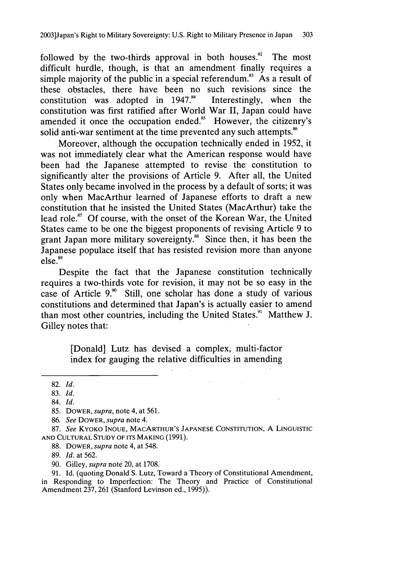followed by the two-thirds approval in both houses. $^{82}$  The most difficult hurdle, though, is that an amendment finally requires a simple majority of the public in a special referendum.<sup>83</sup> As a result of these obstacles, there have been no such revisions since the constitution was adopted in  $1947<sup>84</sup>$  Interestingly, when the constitution was adopted in  $1947.^{84}$ constitution was first ratified after World War II, Japan could have amended it once the occupation ended.<sup>85</sup> However, the citizenry's solid anti-war sentiment at the time prevented any such attempts.<sup>86</sup>

Moreover, although the occupation technically ended in 1952, it was not immediately clear what the American response would have been had the Japanese attempted to revise the constitution to significantly alter the provisions of Article 9. After all, the United States only became involved in the process by a default of sorts; it was only when MacArthur learned of Japanese efforts to draft a new constitution that he insisted the United States (MacArthur) take the lead role.<sup>87</sup> Of course, with the onset of the Korean War, the United States came to be one the biggest proponents of revising Article 9 to grant Japan more military sovereignty. $\frac{88}{100}$  Since then, it has been the Japanese populace itself that has resisted revision more than anyone  $else.<sup>89</sup>$ 

Despite the fact that the Japanese constitution technically requires a two-thirds vote for revision, it may not be so easy in the case of Article **9.'** Still, one scholar has done a study of various constitutions and determined that Japan's is actually easier to amend than most other countries, including the United States." Matthew J. Gilley notes that:

> [Donald] Lutz has devised a complex, multi-factor index for gauging the relative difficulties in amending

89. *Id.* at 562.

90. Gilley, *supra* note 20, at 1708.

91. Id. (quoting Donald S. Lutz, Toward a Theory of Constitutional Amendment, in Responding to Imperfection: The Theory and Practice of Constitutional Amendment 237, 261 (Stanford Levinson ed., 1995)).

<sup>82.</sup> *Id.*

<sup>83.</sup> *Id.*

<sup>84.</sup> *Id.*

<sup>85.</sup> DOWER, *supra,* note 4, at 561.

<sup>86.</sup> *See* DOWER, *supra* note 4.

<sup>87.</sup> *See* KYOKO INOUE, MACARTHUR'S JAPANESE CONSTITUTION, A LINGUISTIC AND CULTURAL STUDY OF **ITS** MAKING (1991).

<sup>88.</sup> DOWER, *supra* note 4, at 548.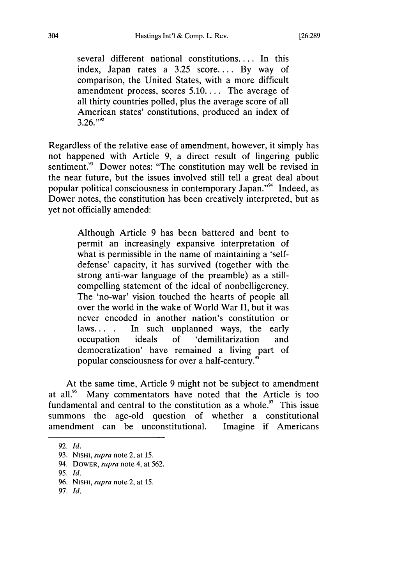several different national constitutions.... In this index, Japan rates a 3.25 score.... By way of comparison, the United States, with a more difficult amendment process, scores 5.10.... The average of all thirty countries polled, plus the average score of all American states' constitutions, produced an index of **3.26."'**

Regardless of the relative ease of amendment, however, it simply has not happened with Article 9, a direct result of lingering public sentiment.<sup>93</sup> Dower notes: "The constitution may well be revised in the near future, but the issues involved still tell a great deal about popular political consciousness in contemporary Japan."9' 4 Indeed, as Dower notes, the constitution has been creatively interpreted, but as yet not officially amended:

> Although Article 9 has been battered and bent to permit an increasingly expansive interpretation of what is permissible in the name of maintaining a 'selfdefense' capacity, it has survived (together with the strong anti-war language of the preamble) as a stillcompelling statement of the ideal of nonbelligerency. The 'no-war' vision touched the hearts of people all over the world in the wake of World War II, but it was never encoded in another nation's constitution or laws... **.** In such unplanned ways, the early occupation ideals of 'demilitarization and democratization' have remained a living part of popular consciousness for over a half-century.<sup>95</sup>

At the same time, Article 9 might not be subject to amendment at all.<sup>96</sup> Many commentators have noted that the Article is too fundamental and central to the constitution as a whole. $\frac{97}{1}$  This issue summons the age-old question of whether a constitutional amendment can be unconstitutional. Imagine if Americans

<sup>92.</sup> *Id.*

<sup>93.</sup> **NISHI,** *supra* note 2, at 15.

<sup>94.</sup> DOWER, *supra* note 4, at 562.

<sup>95.</sup> *Id.*

<sup>96.</sup> **NISHI,** *supra* note 2, at 15.

<sup>97.</sup> *Id.*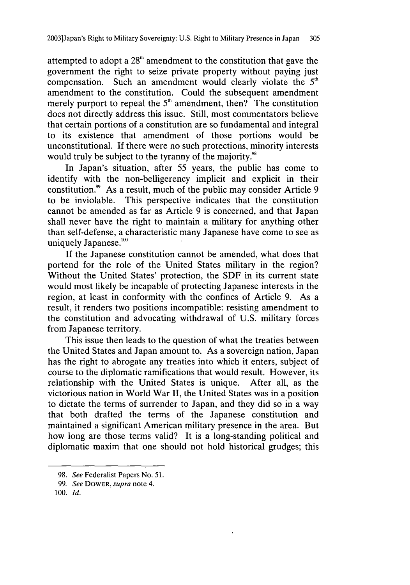attempted to adopt a **<sup>2</sup> <sup>8</sup> h** amendment to the constitution that gave the government the right to seize private property without paying just compensation. Such an amendment would clearly violate the 5<sup>th</sup> amendment to the constitution. Could the subsequent amendment merely purport to repeal the  $5<sup>th</sup>$  amendment, then? The constitution does not directly address this issue. Still, most commentators believe that certain portions of a constitution are so fundamental and integral to its existence that amendment of those portions would be unconstitutional. If there were no such protections, minority interests would truly be subject to the tyranny of the majority.<sup>98</sup>

In Japan's situation, after 55 years, the public has come to identify with the non-belligerency implicit and explicit in their constitution.<sup>99</sup> As a result, much of the public may consider Article 9 to be inviolable. This perspective indicates that the constitution cannot be amended as far as Article 9 is concerned, and that Japan shall never have the right to maintain a military for anything other than self-defense, a characteristic many Japanese have come to see as uniquely Japanese.<sup>100</sup>

If the Japanese constitution cannot be amended, what does that portend for the role of the United States military in the region? Without the United States' protection, the SDF in its current state would most likely be incapable of protecting Japanese interests in the region, at least in conformity with the confines of Article 9. As a result, it renders two positions incompatible: resisting amendment to the constitution and advocating withdrawal of U.S. military forces from Japanese territory.

This issue then leads to the question of what the treaties between the United States and Japan amount to. As a sovereign nation, Japan has the right to abrogate any treaties into which it enters, subject of course to the diplomatic ramifications that would result. However, its relationship with the United States is unique. After all, as the victorious nation in World War II, the United States was in a position to dictate the terms of surrender to Japan, and they did so in a way that both drafted the terms of the Japanese constitution and maintained a significant American military presence in the area. But how long are those terms valid? It is a long-standing political and diplomatic maxim that one should not hold historical grudges; this

<sup>98.</sup> *See* Federalist Papers No. 51.

<sup>99.</sup> *See* DOWER, *supra* note 4.

<sup>100.</sup> *Id.*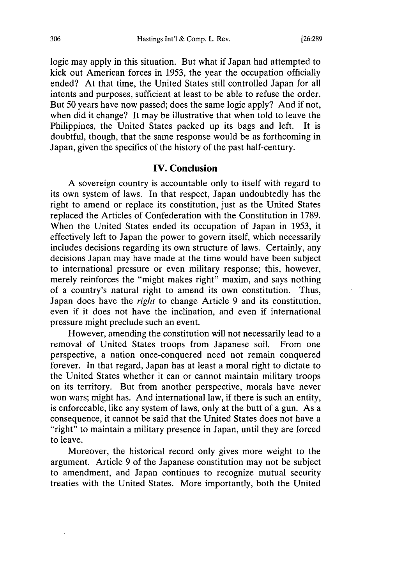logic may apply in this situation. But what if Japan had attempted to kick out American forces in 1953, the year the occupation officially ended? At that time, the United States still controlled Japan for all intents and purposes, sufficient at least to be able to refuse the order. But 50 years have now passed; does the same logic apply? And if not, when did it change? It may be illustrative that when told to leave the Philippines, the United States packed up its bags and left. It is doubtful, though, that the same response would be as forthcoming in Japan, given the specifics of the history of the past half-century.

#### **IV. Conclusion**

**A** sovereign country is accountable only to itself with regard to its own system of laws. In that respect, Japan undoubtedly has the right to amend or replace its constitution, just as the United States replaced the Articles of Confederation with the Constitution in 1789. When the United States ended its occupation of Japan in 1953, it effectively left to Japan the power to govern itself, which necessarily includes decisions regarding its own structure of laws. Certainly, any decisions Japan may have made at the time would have been subject to international pressure or even military response; this, however, merely reinforces the "might makes right" maxim, and says nothing of a country's natural right to amend its own constitution. Thus, Japan does have the *right* to change Article 9 and its constitution, even if it does not have the inclination, and even if international pressure might preclude such an event.

However, amending the constitution will not necessarily lead to a removal of United States troops from Japanese soil. From one perspective, a nation once-conquered need not remain conquered forever. In that regard, Japan has at least a moral right to dictate to the United States whether it can or cannot maintain military troops on its territory. But from another perspective, morals have never won wars; might has. And international law, if there is such an entity, is enforceable, like any system of laws, only at the butt of a gun. As a consequence, it cannot be said that the United States does not have a "right" to maintain a military presence in Japan, until they are forced to leave.

Moreover, the historical record only gives more weight to the argument. Article 9 of the Japanese constitution may not be subject to amendment, and Japan continues to recognize mutual security treaties with the United States. More importantly, both the United